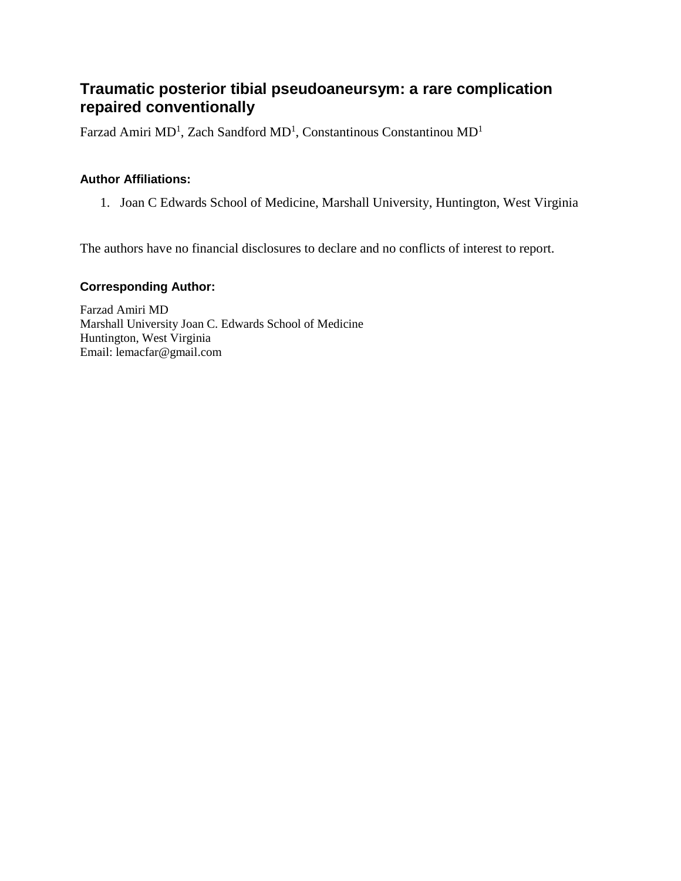# **Traumatic posterior tibial pseudoaneursym: a rare complication repaired conventionally**

[Farzad Amiri MD](javascript:popUp()<sup>1</sup>, [Zach Sandford MD](javascript:popUp()<sup>1</sup>, [Constantinous Constantinou MD](javascript:popUp()<sup>1</sup>

## **Author Affiliations:**

1. Joan C Edwards School of Medicine, Marshall University, Huntington, West Virginia

The authors have no financial disclosures to declare and no conflicts of interest to report.

#### **Corresponding Author:**

Farzad Amiri MD Marshall University Joan C. Edwards School of Medicine Huntington, West Virginia Email: lemacfar@gmail.com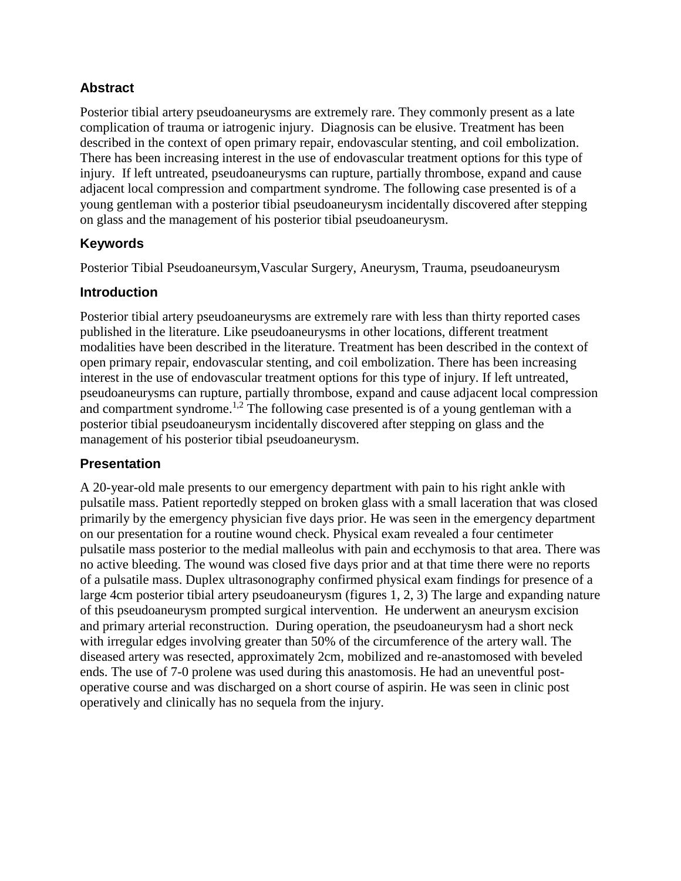## **Abstract**

Posterior tibial artery pseudoaneurysms are extremely rare. They commonly present as a late complication of trauma or iatrogenic injury. Diagnosis can be elusive. Treatment has been described in the context of open primary repair, endovascular stenting, and coil embolization. There has been increasing interest in the use of endovascular treatment options for this type of injury. If left untreated, pseudoaneurysms can rupture, partially thrombose, expand and cause adjacent local compression and compartment syndrome. The following case presented is of a young gentleman with a posterior tibial pseudoaneurysm incidentally discovered after stepping on glass and the management of his posterior tibial pseudoaneurysm.

## **Keywords**

Posterior Tibial Pseudoaneursym,Vascular Surgery, Aneurysm, Trauma, pseudoaneurysm

## **Introduction**

Posterior tibial artery pseudoaneurysms are extremely rare with less than thirty reported cases published in the literature. Like pseudoaneurysms in other locations, different treatment modalities have been described in the literature. Treatment has been described in the context of open primary repair, endovascular stenting, and coil embolization. There has been increasing interest in the use of endovascular treatment options for this type of injury. If left untreated, pseudoaneurysms can rupture, partially thrombose, expand and cause adjacent local compression and compartment syndrome.<sup>1,2</sup> The following case presented is of a young gentleman with a posterior tibial pseudoaneurysm incidentally discovered after stepping on glass and the management of his posterior tibial pseudoaneurysm.

## **Presentation**

A 20-year-old male presents to our emergency department with pain to his right ankle with pulsatile mass. Patient reportedly stepped on broken glass with a small laceration that was closed primarily by the emergency physician five days prior. He was seen in the emergency department on our presentation for a routine wound check. Physical exam revealed a four centimeter pulsatile mass posterior to the medial malleolus with pain and ecchymosis to that area. There was no active bleeding. The wound was closed five days prior and at that time there were no reports of a pulsatile mass. Duplex ultrasonography confirmed physical exam findings for presence of a large 4cm posterior tibial artery pseudoaneurysm (figures 1, 2, 3) The large and expanding nature of this pseudoaneurysm prompted surgical intervention. He underwent an aneurysm excision and primary arterial reconstruction. During operation, the pseudoaneurysm had a short neck with irregular edges involving greater than 50% of the circumference of the artery wall. The diseased artery was resected, approximately 2cm, mobilized and re-anastomosed with beveled ends. The use of 7-0 prolene was used during this anastomosis. He had an uneventful postoperative course and was discharged on a short course of aspirin. He was seen in clinic post operatively and clinically has no sequela from the injury.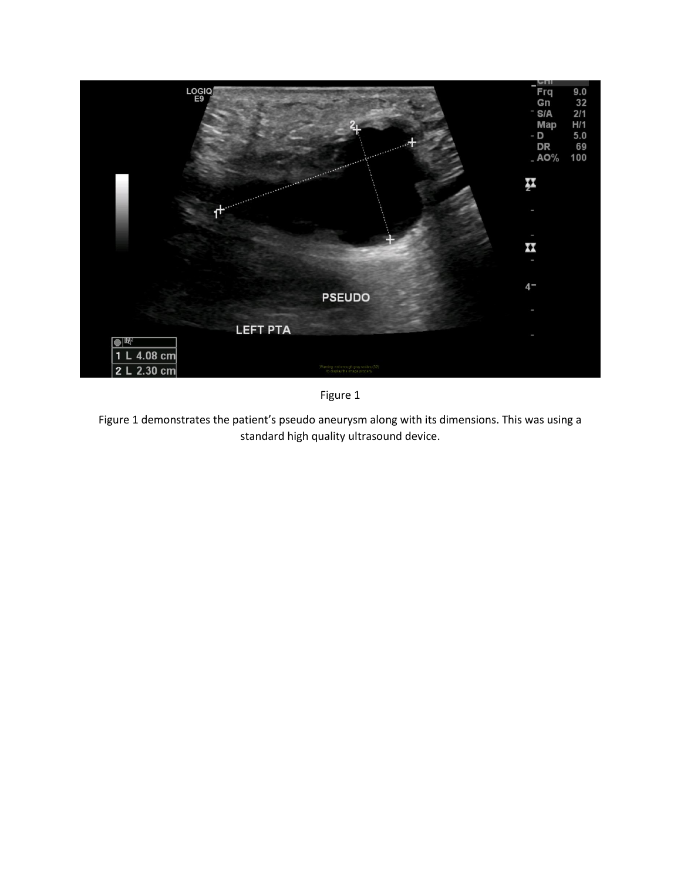

Figure 1

Figure 1 demonstrates the patient's pseudo aneurysm along with its dimensions. This was using a standard high quality ultrasound device.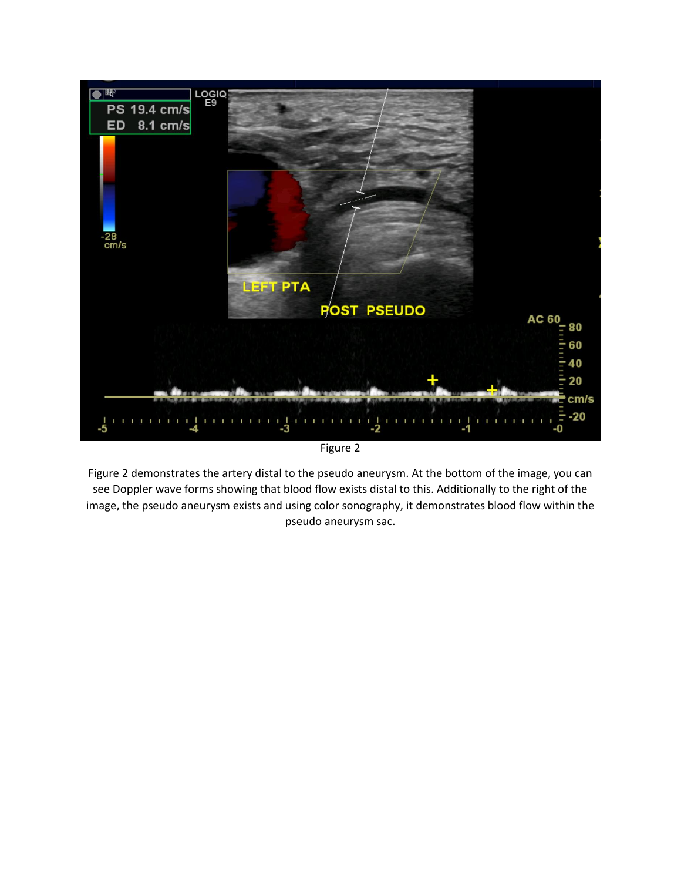

Figure 2

Figure 2 demonstrates the artery distal to the pseudo aneurysm. At the bottom of the image, you can see Doppler wave forms showing that blood flow exists distal to this. Additionally to the right of the image, the pseudo aneurysm exists and using color sonography, it demonstrates blood flow within the pseudo aneurysm sac.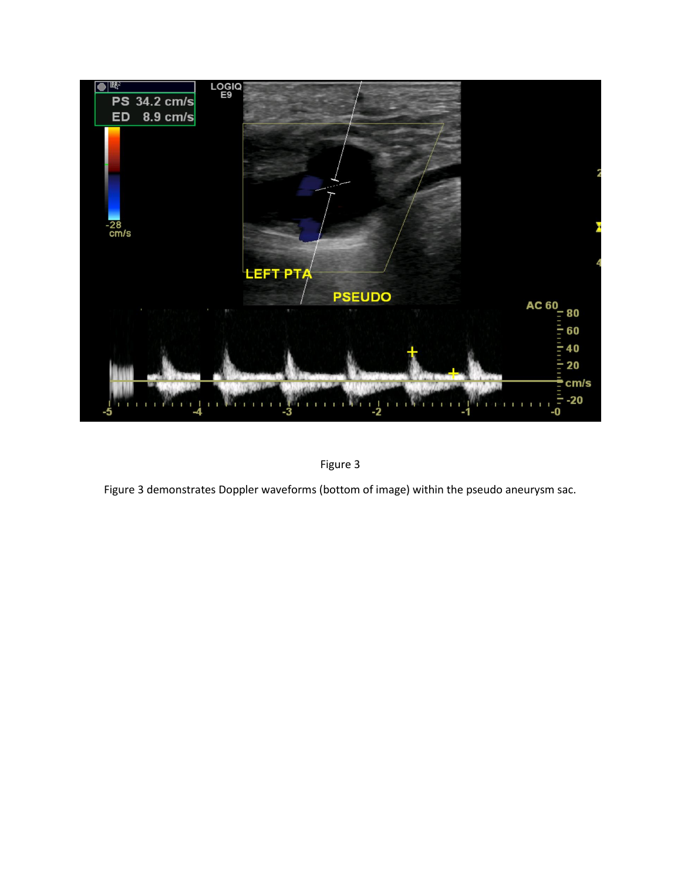



Figure 3 demonstrates Doppler waveforms (bottom of image) within the pseudo aneurysm sac.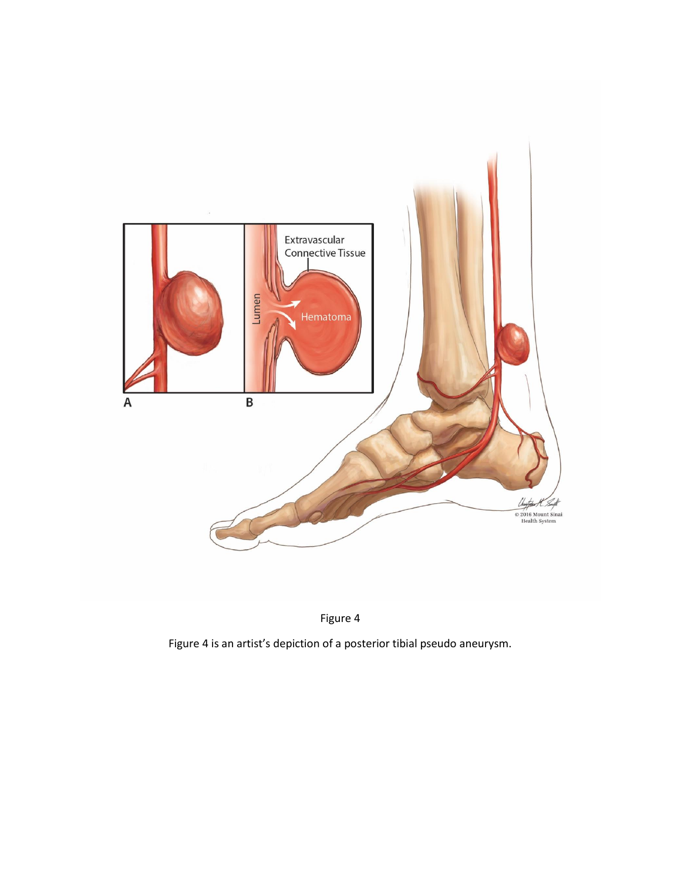



Figure 4 is an artist's depiction of a posterior tibial pseudo aneurysm.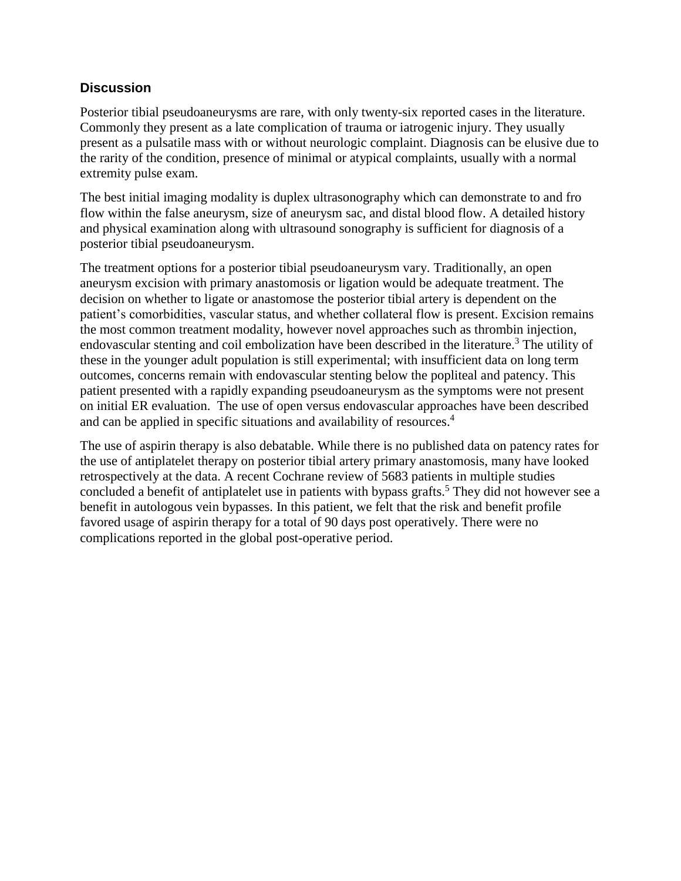### **Discussion**

Posterior tibial pseudoaneurysms are rare, with only twenty-six reported cases in the literature. Commonly they present as a late complication of trauma or iatrogenic injury. They usually present as a pulsatile mass with or without neurologic complaint. Diagnosis can be elusive due to the rarity of the condition, presence of minimal or atypical complaints, usually with a normal extremity pulse exam.

The best initial imaging modality is duplex ultrasonography which can demonstrate to and fro flow within the false aneurysm, size of aneurysm sac, and distal blood flow. A detailed history and physical examination along with ultrasound sonography is sufficient for diagnosis of a posterior tibial pseudoaneurysm.

The treatment options for a posterior tibial pseudoaneurysm vary. Traditionally, an open aneurysm excision with primary anastomosis or ligation would be adequate treatment. The decision on whether to ligate or anastomose the posterior tibial artery is dependent on the patient's comorbidities, vascular status, and whether collateral flow is present. Excision remains the most common treatment modality, however novel approaches such as thrombin injection, endovascular stenting and coil embolization have been described in the literature. <sup>3</sup> The utility of these in the younger adult population is still experimental; with insufficient data on long term outcomes, concerns remain with endovascular stenting below the popliteal and patency. This patient presented with a rapidly expanding pseudoaneurysm as the symptoms were not present on initial ER evaluation. The use of open versus endovascular approaches have been described and can be applied in specific situations and availability of resources. 4

The use of aspirin therapy is also debatable. While there is no published data on patency rates for the use of antiplatelet therapy on posterior tibial artery primary anastomosis, many have looked retrospectively at the data. A recent Cochrane review of 5683 patients in multiple studies concluded a benefit of antiplatelet use in patients with bypass grafts.<sup>5</sup> They did not however see a benefit in autologous vein bypasses. In this patient, we felt that the risk and benefit profile favored usage of aspirin therapy for a total of 90 days post operatively. There were no complications reported in the global post-operative period.